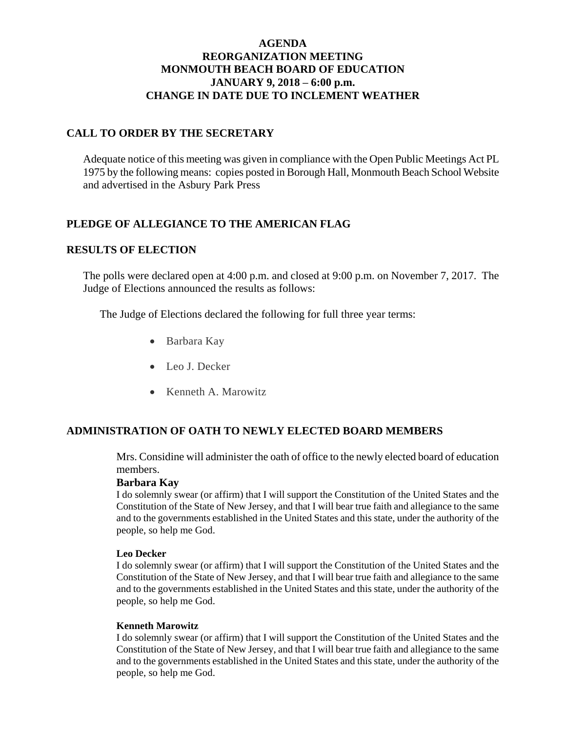## **AGENDA REORGANIZATION MEETING MONMOUTH BEACH BOARD OF EDUCATION JANUARY 9, 2018 – 6:00 p.m. CHANGE IN DATE DUE TO INCLEMENT WEATHER**

## **CALL TO ORDER BY THE SECRETARY**

Adequate notice of this meeting was given in compliance with the Open Public Meetings Act PL 1975 by the following means: copies posted in Borough Hall, Monmouth Beach School Website and advertised in the Asbury Park Press

## **PLEDGE OF ALLEGIANCE TO THE AMERICAN FLAG**

#### **RESULTS OF ELECTION**

The polls were declared open at 4:00 p.m. and closed at 9:00 p.m. on November 7, 2017. The Judge of Elections announced the results as follows:

The Judge of Elections declared the following for full three year terms:

- Barbara Kay
- Leo J. Decker
- Kenneth A. Marowitz

## **ADMINISTRATION OF OATH TO NEWLY ELECTED BOARD MEMBERS**

Mrs. Considine will administer the oath of office to the newly elected board of education members.

#### **Barbara Kay**

I do solemnly swear (or affirm) that I will support the Constitution of the United States and the Constitution of the State of New Jersey, and that I will bear true faith and allegiance to the same and to the governments established in the United States and this state, under the authority of the people, so help me God.

#### **Leo Decker**

I do solemnly swear (or affirm) that I will support the Constitution of the United States and the Constitution of the State of New Jersey, and that I will bear true faith and allegiance to the same and to the governments established in the United States and this state, under the authority of the people, so help me God.

#### **Kenneth Marowitz**

I do solemnly swear (or affirm) that I will support the Constitution of the United States and the Constitution of the State of New Jersey, and that I will bear true faith and allegiance to the same and to the governments established in the United States and this state, under the authority of the people, so help me God.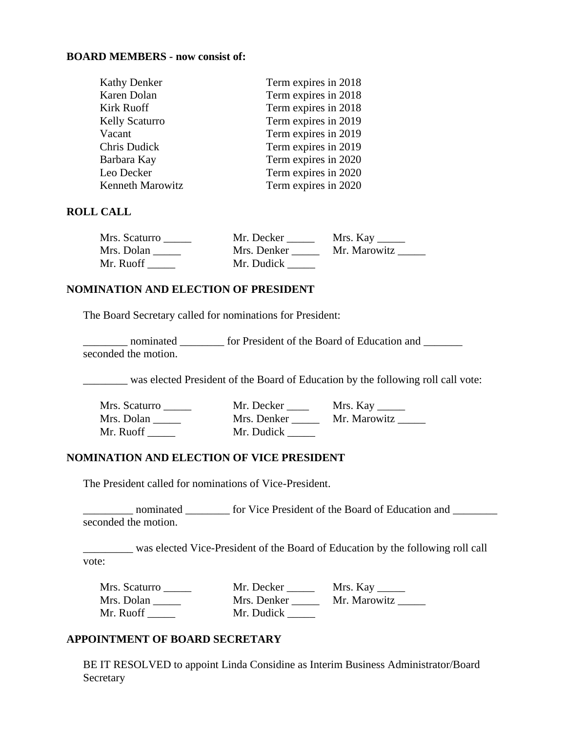#### **BOARD MEMBERS - now consist of:**

| Term expires in 2018 |
|----------------------|
| Term expires in 2018 |
| Term expires in 2018 |
| Term expires in 2019 |
| Term expires in 2019 |
| Term expires in 2019 |
| Term expires in 2020 |
| Term expires in 2020 |
| Term expires in 2020 |
|                      |

#### **ROLL CALL**

| Mrs. Scaturro | Mr. Decker  | Mrs. Kay $\_\_$ |
|---------------|-------------|-----------------|
| Mrs. Dolan    | Mrs. Denker | Mr. Marowitz    |
| Mr. Ruoff     | Mr. Dudick  |                 |

## **NOMINATION AND ELECTION OF PRESIDENT**

The Board Secretary called for nominations for President:

\_\_\_\_\_\_\_\_ nominated \_\_\_\_\_\_\_\_ for President of the Board of Education and \_\_\_\_\_\_\_ seconded the motion.

\_\_\_\_\_\_\_\_ was elected President of the Board of Education by the following roll call vote:

| Mrs. Scaturro | Mr. Decker  | Mrs. Kay     |
|---------------|-------------|--------------|
| Mrs. Dolan    | Mrs. Denker | Mr. Marowitz |
| Mr. Ruoff     | Mr. Dudick  |              |

#### **NOMINATION AND ELECTION OF VICE PRESIDENT**

The President called for nominations of Vice-President.

\_\_\_\_\_\_\_\_\_ nominated \_\_\_\_\_\_\_\_ for Vice President of the Board of Education and \_\_\_\_\_\_\_\_ seconded the motion.

was elected Vice-President of the Board of Education by the following roll call vote:

| Mrs. Scaturro | Mr. Decker  | Mrs. Kay $\_\_\_\_\_\_\_\_\$ |
|---------------|-------------|------------------------------|
| Mrs. Dolan    | Mrs. Denker | Mr. Marowitz                 |
| Mr. Ruoff     | Mr. Dudick  |                              |

## **APPOINTMENT OF BOARD SECRETARY**

BE IT RESOLVED to appoint Linda Considine as Interim Business Administrator/Board **Secretary**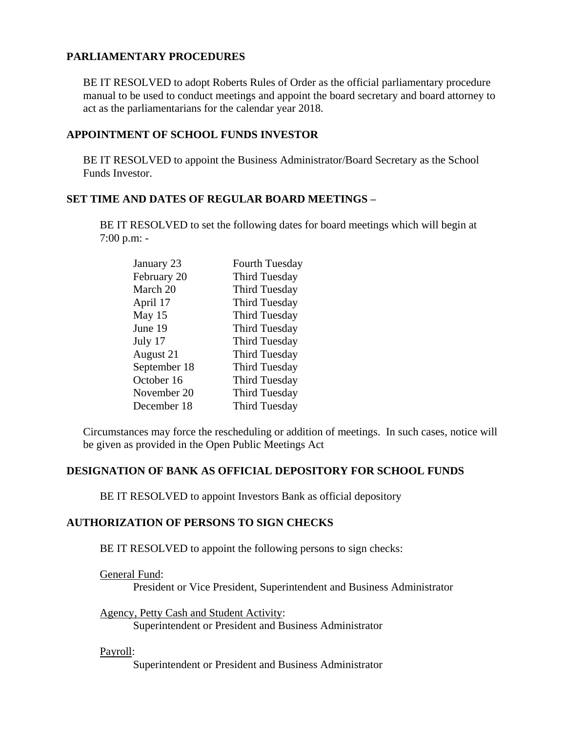# **PARLIAMENTARY PROCEDURES**

BE IT RESOLVED to adopt Roberts Rules of Order as the official parliamentary procedure manual to be used to conduct meetings and appoint the board secretary and board attorney to act as the parliamentarians for the calendar year 2018.

## **APPOINTMENT OF SCHOOL FUNDS INVESTOR**

BE IT RESOLVED to appoint the Business Administrator/Board Secretary as the School Funds Investor.

## **SET TIME AND DATES OF REGULAR BOARD MEETINGS –**

BE IT RESOLVED to set the following dates for board meetings which will begin at 7:00 p.m: -

| January 23   | <b>Fourth Tuesday</b> |
|--------------|-----------------------|
| February 20  | <b>Third Tuesday</b>  |
| March 20     | <b>Third Tuesday</b>  |
| April 17     | <b>Third Tuesday</b>  |
| May 15       | <b>Third Tuesday</b>  |
| June 19      | <b>Third Tuesday</b>  |
| July 17      | <b>Third Tuesday</b>  |
| August 21    | Third Tuesday         |
| September 18 | Third Tuesday         |
| October 16   | <b>Third Tuesday</b>  |
| November 20  | <b>Third Tuesday</b>  |
| December 18  | <b>Third Tuesday</b>  |

Circumstances may force the rescheduling or addition of meetings. In such cases, notice will be given as provided in the Open Public Meetings Act

## **DESIGNATION OF BANK AS OFFICIAL DEPOSITORY FOR SCHOOL FUNDS**

BE IT RESOLVED to appoint Investors Bank as official depository

## **AUTHORIZATION OF PERSONS TO SIGN CHECKS**

BE IT RESOLVED to appoint the following persons to sign checks:

General Fund:

President or Vice President, Superintendent and Business Administrator

Agency, Petty Cash and Student Activity: Superintendent or President and Business Administrator

## Payroll:

Superintendent or President and Business Administrator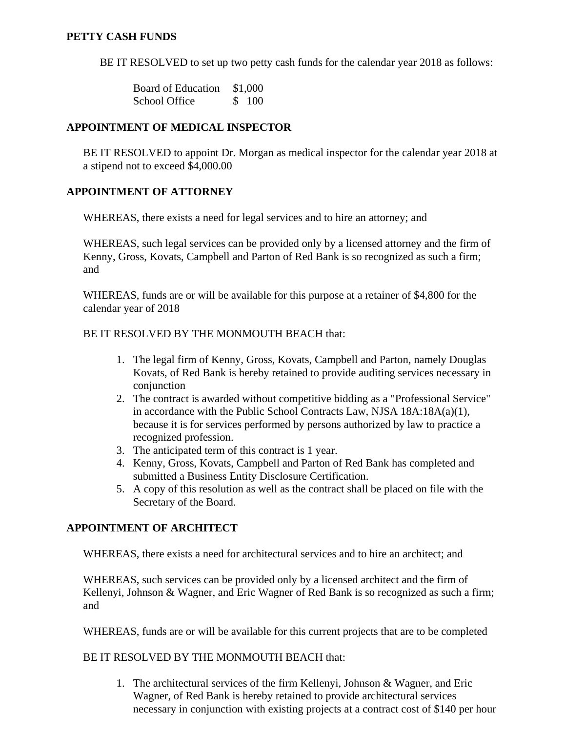## **PETTY CASH FUNDS**

BE IT RESOLVED to set up two petty cash funds for the calendar year 2018 as follows:

Board of Education \$1,000 School Office \$ 100

## **APPOINTMENT OF MEDICAL INSPECTOR**

BE IT RESOLVED to appoint Dr. Morgan as medical inspector for the calendar year 2018 at a stipend not to exceed \$4,000.00

## **APPOINTMENT OF ATTORNEY**

WHEREAS, there exists a need for legal services and to hire an attorney; and

WHEREAS, such legal services can be provided only by a licensed attorney and the firm of Kenny, Gross, Kovats, Campbell and Parton of Red Bank is so recognized as such a firm; and

WHEREAS, funds are or will be available for this purpose at a retainer of \$4,800 for the calendar year of 2018

## BE IT RESOLVED BY THE MONMOUTH BEACH that:

- 1. The legal firm of Kenny, Gross, Kovats, Campbell and Parton, namely Douglas Kovats, of Red Bank is hereby retained to provide auditing services necessary in conjunction
- 2. The contract is awarded without competitive bidding as a "Professional Service" in accordance with the Public School Contracts Law, NJSA 18A:18A(a)(1), because it is for services performed by persons authorized by law to practice a recognized profession.
- 3. The anticipated term of this contract is 1 year.
- 4. Kenny, Gross, Kovats, Campbell and Parton of Red Bank has completed and submitted a Business Entity Disclosure Certification.
- 5. A copy of this resolution as well as the contract shall be placed on file with the Secretary of the Board.

# **APPOINTMENT OF ARCHITECT**

WHEREAS, there exists a need for architectural services and to hire an architect; and

WHEREAS, such services can be provided only by a licensed architect and the firm of Kellenyi, Johnson & Wagner, and Eric Wagner of Red Bank is so recognized as such a firm; and

WHEREAS, funds are or will be available for this current projects that are to be completed

## BE IT RESOLVED BY THE MONMOUTH BEACH that:

1. The architectural services of the firm Kellenyi, Johnson & Wagner, and Eric Wagner, of Red Bank is hereby retained to provide architectural services necessary in conjunction with existing projects at a contract cost of \$140 per hour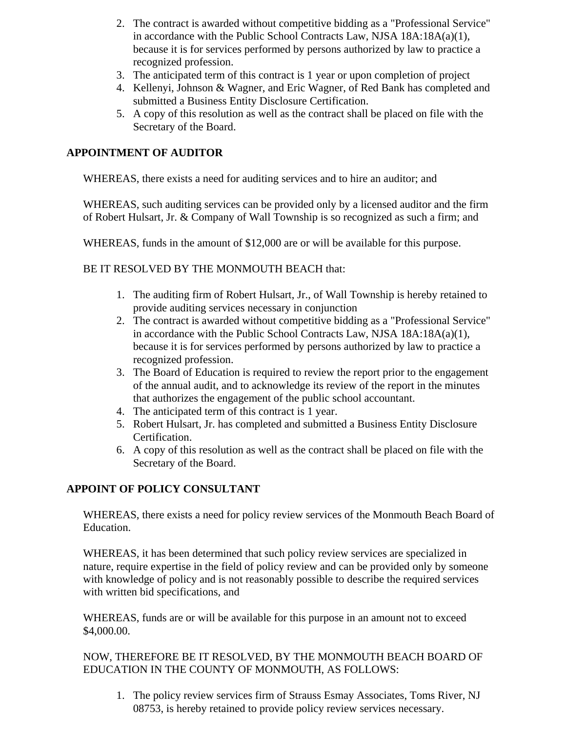- 2. The contract is awarded without competitive bidding as a "Professional Service" in accordance with the Public School Contracts Law, NJSA 18A:18A(a)(1), because it is for services performed by persons authorized by law to practice a recognized profession.
- 3. The anticipated term of this contract is 1 year or upon completion of project
- 4. Kellenyi, Johnson & Wagner, and Eric Wagner, of Red Bank has completed and submitted a Business Entity Disclosure Certification.
- 5. A copy of this resolution as well as the contract shall be placed on file with the Secretary of the Board.

## **APPOINTMENT OF AUDITOR**

WHEREAS, there exists a need for auditing services and to hire an auditor; and

WHEREAS, such auditing services can be provided only by a licensed auditor and the firm of Robert Hulsart, Jr. & Company of Wall Township is so recognized as such a firm; and

WHEREAS, funds in the amount of \$12,000 are or will be available for this purpose.

BE IT RESOLVED BY THE MONMOUTH BEACH that:

- 1. The auditing firm of Robert Hulsart, Jr., of Wall Township is hereby retained to provide auditing services necessary in conjunction
- 2. The contract is awarded without competitive bidding as a "Professional Service" in accordance with the Public School Contracts Law, NJSA 18A:18A(a)(1), because it is for services performed by persons authorized by law to practice a recognized profession.
- 3. The Board of Education is required to review the report prior to the engagement of the annual audit, and to acknowledge its review of the report in the minutes that authorizes the engagement of the public school accountant.
- 4. The anticipated term of this contract is 1 year.
- 5. Robert Hulsart, Jr. has completed and submitted a Business Entity Disclosure Certification.
- 6. A copy of this resolution as well as the contract shall be placed on file with the Secretary of the Board.

# **APPOINT OF POLICY CONSULTANT**

WHEREAS, there exists a need for policy review services of the Monmouth Beach Board of Education.

WHEREAS, it has been determined that such policy review services are specialized in nature, require expertise in the field of policy review and can be provided only by someone with knowledge of policy and is not reasonably possible to describe the required services with written bid specifications, and

WHEREAS, funds are or will be available for this purpose in an amount not to exceed \$4,000.00.

NOW, THEREFORE BE IT RESOLVED, BY THE MONMOUTH BEACH BOARD OF EDUCATION IN THE COUNTY OF MONMOUTH, AS FOLLOWS:

1. The policy review services firm of Strauss Esmay Associates, Toms River, NJ 08753, is hereby retained to provide policy review services necessary.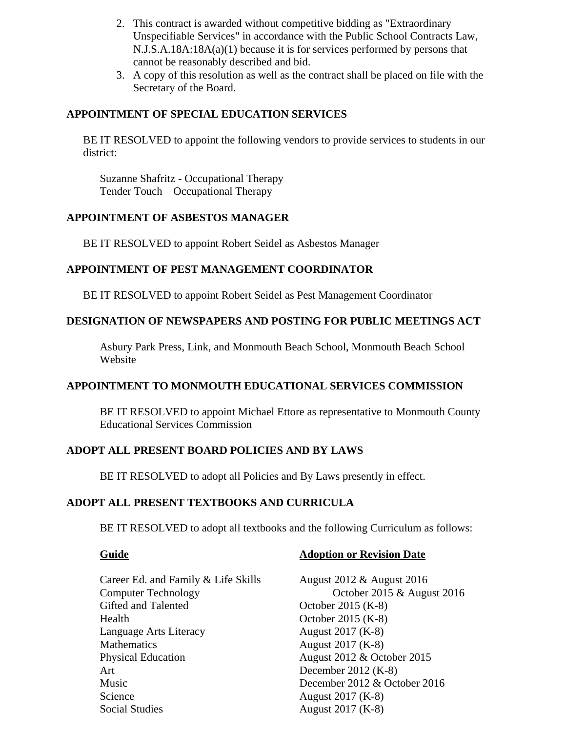- 2. This contract is awarded without competitive bidding as "Extraordinary Unspecifiable Services" in accordance with the Public School Contracts Law, N.J.S.A.18A:18A(a)(1) because it is for services performed by persons that cannot be reasonably described and bid.
- 3. A copy of this resolution as well as the contract shall be placed on file with the Secretary of the Board.

## **APPOINTMENT OF SPECIAL EDUCATION SERVICES**

BE IT RESOLVED to appoint the following vendors to provide services to students in our district:

Suzanne Shafritz - Occupational Therapy Tender Touch – Occupational Therapy

## **APPOINTMENT OF ASBESTOS MANAGER**

BE IT RESOLVED to appoint Robert Seidel as Asbestos Manager

## **APPOINTMENT OF PEST MANAGEMENT COORDINATOR**

BE IT RESOLVED to appoint Robert Seidel as Pest Management Coordinator

## **DESIGNATION OF NEWSPAPERS AND POSTING FOR PUBLIC MEETINGS ACT**

Asbury Park Press, Link, and Monmouth Beach School, Monmouth Beach School Website

## **APPOINTMENT TO MONMOUTH EDUCATIONAL SERVICES COMMISSION**

BE IT RESOLVED to appoint Michael Ettore as representative to Monmouth County Educational Services Commission

## **ADOPT ALL PRESENT BOARD POLICIES AND BY LAWS**

BE IT RESOLVED to adopt all Policies and By Laws presently in effect.

#### **ADOPT ALL PRESENT TEXTBOOKS AND CURRICULA**

BE IT RESOLVED to adopt all textbooks and the following Curriculum as follows:

## **Guide Adoption or Revision Date**

Career Ed. and Family & Life Skills August 2012 & August 2016 Gifted and Talented October 2015 (K-8) Health October 2015 (K-8) Language Arts Literacy August 2017 (K-8) Mathematics August 2017 (K-8) Physical Education August 2012 & October 2015 Art December 2012 (K-8) Music December 2012 & October 2016 Science August 2017 (K-8)

Computer Technology October 2015 & August 2016 Social Studies August 2017 (K-8)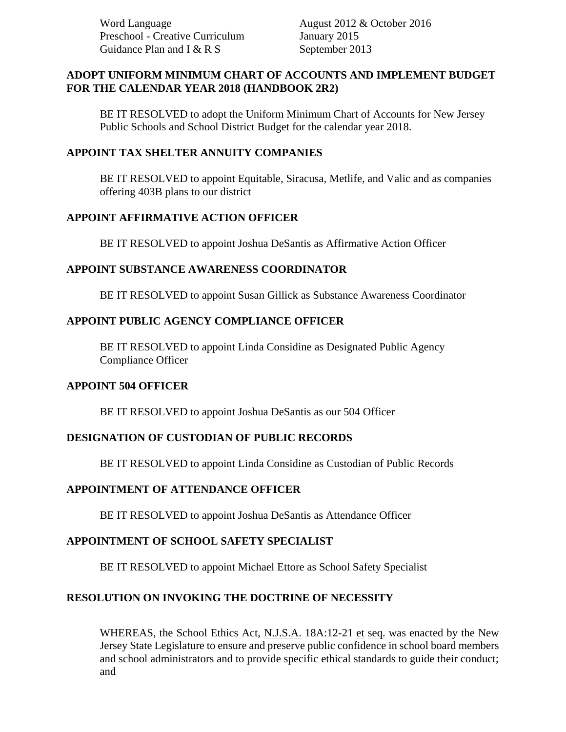Word Language **August 2012 & October 2016** Preschool - Creative Curriculum January 2015 Guidance Plan and I & R S September 2013

## **ADOPT UNIFORM MINIMUM CHART OF ACCOUNTS AND IMPLEMENT BUDGET FOR THE CALENDAR YEAR 2018 (HANDBOOK 2R2)**

BE IT RESOLVED to adopt the Uniform Minimum Chart of Accounts for New Jersey Public Schools and School District Budget for the calendar year 2018.

## **APPOINT TAX SHELTER ANNUITY COMPANIES**

BE IT RESOLVED to appoint Equitable, Siracusa, Metlife, and Valic and as companies offering 403B plans to our district

## **APPOINT AFFIRMATIVE ACTION OFFICER**

BE IT RESOLVED to appoint Joshua DeSantis as Affirmative Action Officer

## **APPOINT SUBSTANCE AWARENESS COORDINATOR**

BE IT RESOLVED to appoint Susan Gillick as Substance Awareness Coordinator

## **APPOINT PUBLIC AGENCY COMPLIANCE OFFICER**

BE IT RESOLVED to appoint Linda Considine as Designated Public Agency Compliance Officer

## **APPOINT 504 OFFICER**

BE IT RESOLVED to appoint Joshua DeSantis as our 504 Officer

## **DESIGNATION OF CUSTODIAN OF PUBLIC RECORDS**

BE IT RESOLVED to appoint Linda Considine as Custodian of Public Records

## **APPOINTMENT OF ATTENDANCE OFFICER**

BE IT RESOLVED to appoint Joshua DeSantis as Attendance Officer

# **APPOINTMENT OF SCHOOL SAFETY SPECIALIST**

BE IT RESOLVED to appoint Michael Ettore as School Safety Specialist

# **RESOLUTION ON INVOKING THE DOCTRINE OF NECESSITY**

WHEREAS, the School Ethics Act, N.J.S.A. 18A:12-21 et seq. was enacted by the New Jersey State Legislature to ensure and preserve public confidence in school board members and school administrators and to provide specific ethical standards to guide their conduct; and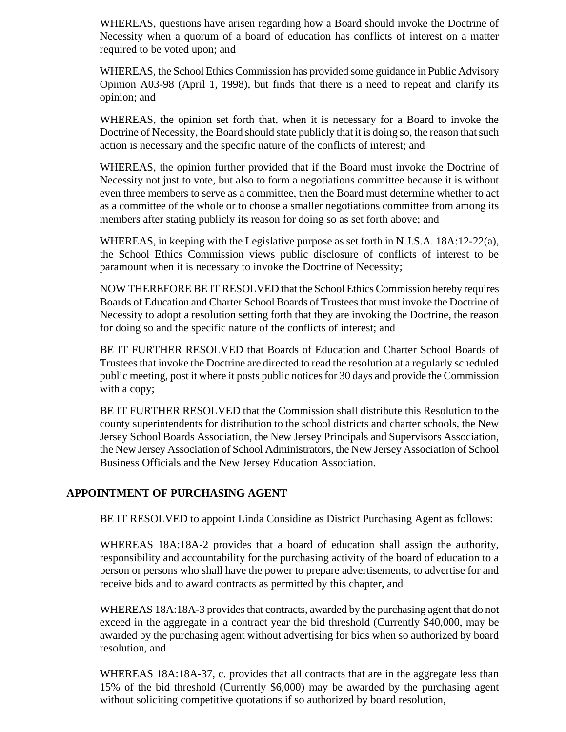WHEREAS, questions have arisen regarding how a Board should invoke the Doctrine of Necessity when a quorum of a board of education has conflicts of interest on a matter required to be voted upon; and

WHEREAS, the School Ethics Commission has provided some guidance in Public Advisory Opinion A03-98 (April 1, 1998), but finds that there is a need to repeat and clarify its opinion; and

WHEREAS, the opinion set forth that, when it is necessary for a Board to invoke the Doctrine of Necessity, the Board should state publicly that it is doing so, the reason that such action is necessary and the specific nature of the conflicts of interest; and

WHEREAS, the opinion further provided that if the Board must invoke the Doctrine of Necessity not just to vote, but also to form a negotiations committee because it is without even three members to serve as a committee, then the Board must determine whether to act as a committee of the whole or to choose a smaller negotiations committee from among its members after stating publicly its reason for doing so as set forth above; and

WHEREAS, in keeping with the Legislative purpose as set forth in N.J.S.A. 18A:12-22(a), the School Ethics Commission views public disclosure of conflicts of interest to be paramount when it is necessary to invoke the Doctrine of Necessity;

NOW THEREFORE BE IT RESOLVED that the School Ethics Commission hereby requires Boards of Education and Charter School Boards of Trustees that must invoke the Doctrine of Necessity to adopt a resolution setting forth that they are invoking the Doctrine, the reason for doing so and the specific nature of the conflicts of interest; and

BE IT FURTHER RESOLVED that Boards of Education and Charter School Boards of Trustees that invoke the Doctrine are directed to read the resolution at a regularly scheduled public meeting, post it where it posts public notices for 30 days and provide the Commission with a copy;

BE IT FURTHER RESOLVED that the Commission shall distribute this Resolution to the county superintendents for distribution to the school districts and charter schools, the New Jersey School Boards Association, the New Jersey Principals and Supervisors Association, the New Jersey Association of School Administrators, the New Jersey Association of School Business Officials and the New Jersey Education Association.

# **APPOINTMENT OF PURCHASING AGENT**

BE IT RESOLVED to appoint Linda Considine as District Purchasing Agent as follows:

WHEREAS 18A:18A-2 provides that a board of education shall assign the authority, responsibility and accountability for the purchasing activity of the board of education to a person or persons who shall have the power to prepare advertisements, to advertise for and receive bids and to award contracts as permitted by this chapter, and

WHEREAS 18A:18A-3 provides that contracts, awarded by the purchasing agent that do not exceed in the aggregate in a contract year the bid threshold (Currently \$40,000, may be awarded by the purchasing agent without advertising for bids when so authorized by board resolution, and

WHEREAS 18A:18A-37, c. provides that all contracts that are in the aggregate less than 15% of the bid threshold (Currently \$6,000) may be awarded by the purchasing agent without soliciting competitive quotations if so authorized by board resolution,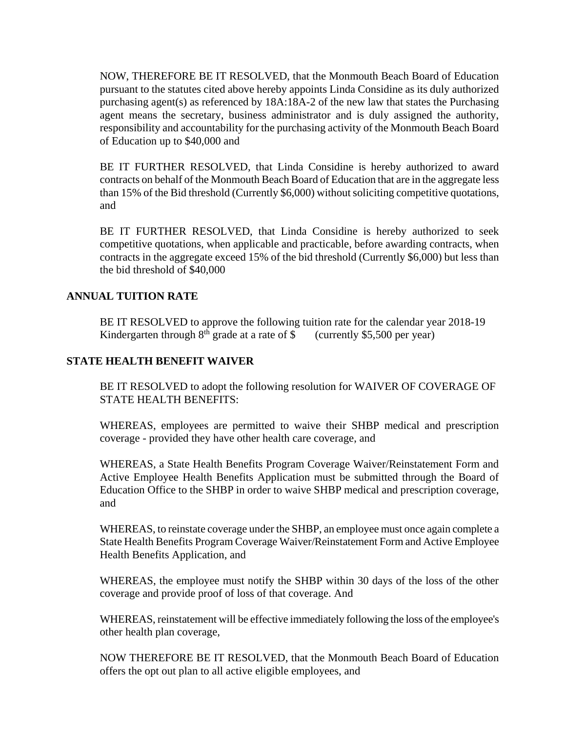NOW, THEREFORE BE IT RESOLVED, that the Monmouth Beach Board of Education pursuant to the statutes cited above hereby appoints Linda Considine as its duly authorized purchasing agent(s) as referenced by 18A:18A-2 of the new law that states the Purchasing agent means the secretary, business administrator and is duly assigned the authority, responsibility and accountability for the purchasing activity of the Monmouth Beach Board of Education up to \$40,000 and

BE IT FURTHER RESOLVED, that Linda Considine is hereby authorized to award contracts on behalf of the Monmouth Beach Board of Education that are in the aggregate less than 15% of the Bid threshold (Currently \$6,000) without soliciting competitive quotations, and

BE IT FURTHER RESOLVED, that Linda Considine is hereby authorized to seek competitive quotations, when applicable and practicable, before awarding contracts, when contracts in the aggregate exceed 15% of the bid threshold (Currently \$6,000) but less than the bid threshold of \$40,000

## **ANNUAL TUITION RATE**

BE IT RESOLVED to approve the following tuition rate for the calendar year 2018-19 Kindergarten through  $8<sup>th</sup>$  grade at a rate of \$ (currently \$5,500 per year)

## **STATE HEALTH BENEFIT WAIVER**

BE IT RESOLVED to adopt the following resolution for WAIVER OF COVERAGE OF STATE HEALTH BENEFITS:

WHEREAS, employees are permitted to waive their SHBP medical and prescription coverage - provided they have other health care coverage, and

WHEREAS, a State Health Benefits Program Coverage Waiver/Reinstatement Form and Active Employee Health Benefits Application must be submitted through the Board of Education Office to the SHBP in order to waive SHBP medical and prescription coverage, and

WHEREAS, to reinstate coverage under the SHBP, an employee must once again complete a State Health Benefits Program Coverage Waiver/Reinstatement Form and Active Employee Health Benefits Application, and

WHEREAS, the employee must notify the SHBP within 30 days of the loss of the other coverage and provide proof of loss of that coverage. And

WHEREAS, reinstatement will be effective immediately following the loss of the employee's other health plan coverage,

NOW THEREFORE BE IT RESOLVED, that the Monmouth Beach Board of Education offers the opt out plan to all active eligible employees, and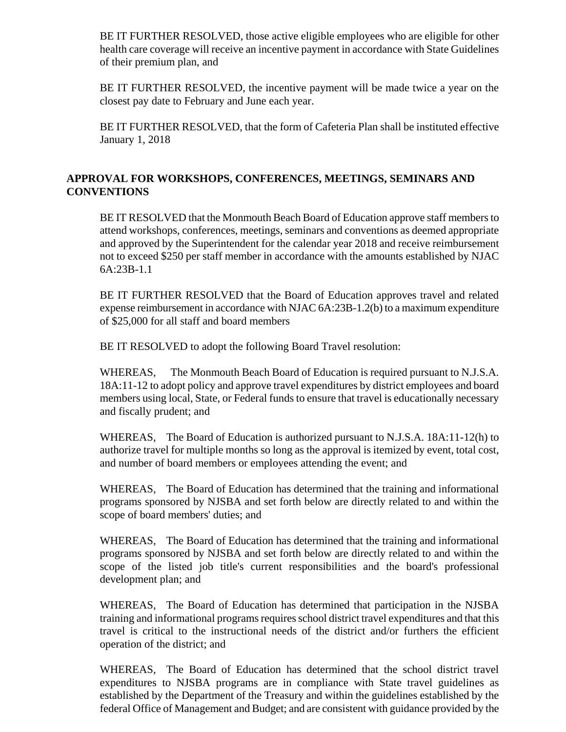BE IT FURTHER RESOLVED, those active eligible employees who are eligible for other health care coverage will receive an incentive payment in accordance with State Guidelines of their premium plan, and

BE IT FURTHER RESOLVED, the incentive payment will be made twice a year on the closest pay date to February and June each year.

BE IT FURTHER RESOLVED, that the form of Cafeteria Plan shall be instituted effective January 1, 2018

# **APPROVAL FOR WORKSHOPS, CONFERENCES, MEETINGS, SEMINARS AND CONVENTIONS**

BE IT RESOLVED that the Monmouth Beach Board of Education approve staff members to attend workshops, conferences, meetings, seminars and conventions as deemed appropriate and approved by the Superintendent for the calendar year 2018 and receive reimbursement not to exceed \$250 per staff member in accordance with the amounts established by NJAC 6A:23B-1.1

BE IT FURTHER RESOLVED that the Board of Education approves travel and related expense reimbursement in accordance with NJAC 6A:23B-1.2(b) to a maximum expenditure of \$25,000 for all staff and board members

BE IT RESOLVED to adopt the following Board Travel resolution:

WHEREAS, The Monmouth Beach Board of Education is required pursuant to N.J.S.A. 18A:11-12 to adopt policy and approve travel expenditures by district employees and board members using local, State, or Federal funds to ensure that travel is educationally necessary and fiscally prudent; and

WHEREAS, The Board of Education is authorized pursuant to N.J.S.A. 18A:11-12(h) to authorize travel for multiple months so long as the approval is itemized by event, total cost, and number of board members or employees attending the event; and

WHEREAS, The Board of Education has determined that the training and informational programs sponsored by NJSBA and set forth below are directly related to and within the scope of board members' duties; and

WHEREAS, The Board of Education has determined that the training and informational programs sponsored by NJSBA and set forth below are directly related to and within the scope of the listed job title's current responsibilities and the board's professional development plan; and

WHEREAS, The Board of Education has determined that participation in the NJSBA training and informational programs requires school district travel expenditures and that this travel is critical to the instructional needs of the district and/or furthers the efficient operation of the district; and

WHEREAS, The Board of Education has determined that the school district travel expenditures to NJSBA programs are in compliance with State travel guidelines as established by the Department of the Treasury and within the guidelines established by the federal Office of Management and Budget; and are consistent with guidance provided by the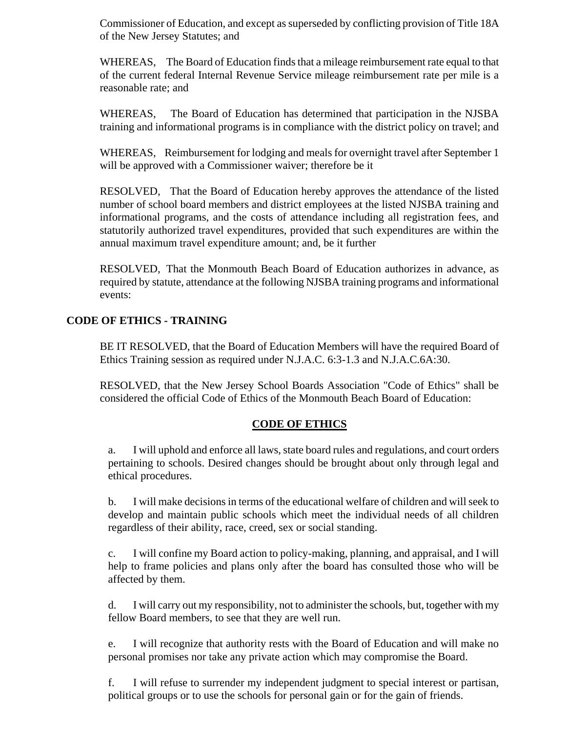Commissioner of Education, and except as superseded by conflicting provision of Title 18A of the New Jersey Statutes; and

WHEREAS, The Board of Education finds that a mileage reimbursement rate equal to that of the current federal Internal Revenue Service mileage reimbursement rate per mile is a reasonable rate; and

WHEREAS, The Board of Education has determined that participation in the NJSBA training and informational programs is in compliance with the district policy on travel; and

WHEREAS, Reimbursement for lodging and meals for overnight travel after September 1 will be approved with a Commissioner waiver; therefore be it

RESOLVED, That the Board of Education hereby approves the attendance of the listed number of school board members and district employees at the listed NJSBA training and informational programs, and the costs of attendance including all registration fees, and statutorily authorized travel expenditures, provided that such expenditures are within the annual maximum travel expenditure amount; and, be it further

RESOLVED, That the Monmouth Beach Board of Education authorizes in advance, as required by statute, attendance at the following NJSBA training programs and informational events:

# **CODE OF ETHICS - TRAINING**

BE IT RESOLVED, that the Board of Education Members will have the required Board of Ethics Training session as required under N.J.A.C. 6:3-1.3 and N.J.A.C.6A:30.

RESOLVED, that the New Jersey School Boards Association "Code of Ethics" shall be considered the official Code of Ethics of the Monmouth Beach Board of Education:

# **CODE OF ETHICS**

a. I will uphold and enforce all laws, state board rules and regulations, and court orders pertaining to schools. Desired changes should be brought about only through legal and ethical procedures.

b. I will make decisions in terms of the educational welfare of children and will seek to develop and maintain public schools which meet the individual needs of all children regardless of their ability, race, creed, sex or social standing.

c. I will confine my Board action to policy-making, planning, and appraisal, and I will help to frame policies and plans only after the board has consulted those who will be affected by them.

d. I will carry out my responsibility, not to administer the schools, but, together with my fellow Board members, to see that they are well run.

e. I will recognize that authority rests with the Board of Education and will make no personal promises nor take any private action which may compromise the Board.

f. I will refuse to surrender my independent judgment to special interest or partisan, political groups or to use the schools for personal gain or for the gain of friends.